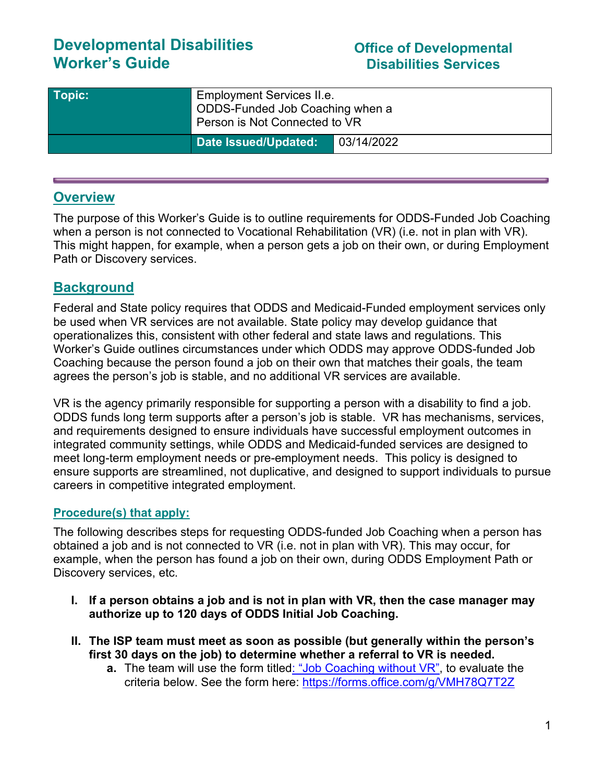# **Developmental Disabilities Worker's Guide**

## **Office of Developmental Disabilities Services**

| Topic: | <b>Employment Services II.e.</b><br>ODDS-Funded Job Coaching when a<br>Person is Not Connected to VR |            |
|--------|------------------------------------------------------------------------------------------------------|------------|
|        | Date Issued/Updated:                                                                                 | 03/14/2022 |

## **Overview**

The purpose of this Worker's Guide is to outline requirements for ODDS-Funded Job Coaching when a person is not connected to Vocational Rehabilitation (VR) (i.e. not in plan with VR). This might happen, for example, when a person gets a job on their own, or during Employment Path or Discovery services.

## **Background**

Federal and State policy requires that ODDS and Medicaid-Funded employment services only be used when VR services are not available. State policy may develop guidance that operationalizes this, consistent with other federal and state laws and regulations. This Worker's Guide outlines circumstances under which ODDS may approve ODDS-funded Job Coaching because the person found a job on their own that matches their goals, the team agrees the person's job is stable, and no additional VR services are available.

VR is the agency primarily responsible for supporting a person with a disability to find a job. ODDS funds long term supports after a person's job is stable. VR has mechanisms, services, and requirements designed to ensure individuals have successful employment outcomes in integrated community settings, while ODDS and Medicaid-funded services are designed to meet long-term employment needs or pre-employment needs. This policy is designed to ensure supports are streamlined, not duplicative, and designed to support individuals to pursue careers in competitive integrated employment.

## **Procedure(s) that apply:**

The following describes steps for requesting ODDS-funded Job Coaching when a person has obtained a job and is not connected to VR (i.e. not in plan with VR). This may occur, for example, when the person has found a job on their own, during ODDS Employment Path or Discovery services, etc.

- **I. If a person obtains a job and is not in plan with VR, then the case manager may authorize up to 120 days of ODDS Initial Job Coaching.**
- **II. The ISP team must meet as soon as possible (but generally within the person's first 30 days on the job) to determine whether a referral to VR is needed.** 
	- **a.** The team will use the form titled: "[Job Coaching without VR](https://forms.office.com/g/VMH78Q7T2Z)", to evaluate the criteria below. See the form here:<https://forms.office.com/g/VMH78Q7T2Z>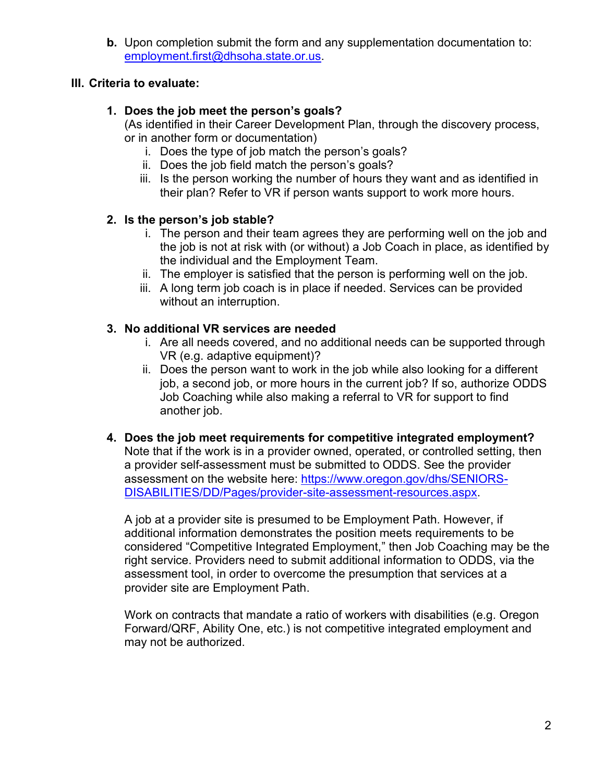**b.** Upon completion submit the form and any supplementation documentation to: [employment.first@dhsoha.state.or.us.](mailto:employment.first@dhsoha.state.or.us)

## **III. Criteria to evaluate:**

## **1. Does the job meet the person's goals?**

(As identified in their Career Development Plan, through the discovery process, or in another form or documentation)

- i. Does the type of job match the person's goals?
- ii. Does the job field match the person's goals?
- iii. Is the person working the number of hours they want and as identified in their plan? Refer to VR if person wants support to work more hours.

## **2. Is the person's job stable?**

- i. The person and their team agrees they are performing well on the job and the job is not at risk with (or without) a Job Coach in place, as identified by the individual and the Employment Team.
- ii. The employer is satisfied that the person is performing well on the job.
- iii. A long term job coach is in place if needed. Services can be provided without an interruption.

## **3. No additional VR services are needed**

- i. Are all needs covered, and no additional needs can be supported through VR (e.g. adaptive equipment)?
- ii. Does the person want to work in the job while also looking for a different job, a second job, or more hours in the current job? If so, authorize ODDS Job Coaching while also making a referral to VR for support to find another job.
- **4. Does the job meet requirements for competitive integrated employment?** Note that if the work is in a provider owned, operated, or controlled setting, then a provider self-assessment must be submitted to ODDS. See the provider assessment on the website here: [https://www.oregon.gov/dhs/SENIORS-](https://www.oregon.gov/dhs/SENIORS-DISABILITIES/DD/Pages/provider-site-assessment-resources.aspx)[DISABILITIES/DD/Pages/provider-site-assessment-resources.aspx.](https://www.oregon.gov/dhs/SENIORS-DISABILITIES/DD/Pages/provider-site-assessment-resources.aspx)

A job at a provider site is presumed to be Employment Path. However, if additional information demonstrates the position meets requirements to be considered "Competitive Integrated Employment," then Job Coaching may be the right service. Providers need to submit additional information to ODDS, via the assessment tool, in order to overcome the presumption that services at a provider site are Employment Path.

Work on contracts that mandate a ratio of workers with disabilities (e.g. Oregon Forward/QRF, Ability One, etc.) is not competitive integrated employment and may not be authorized.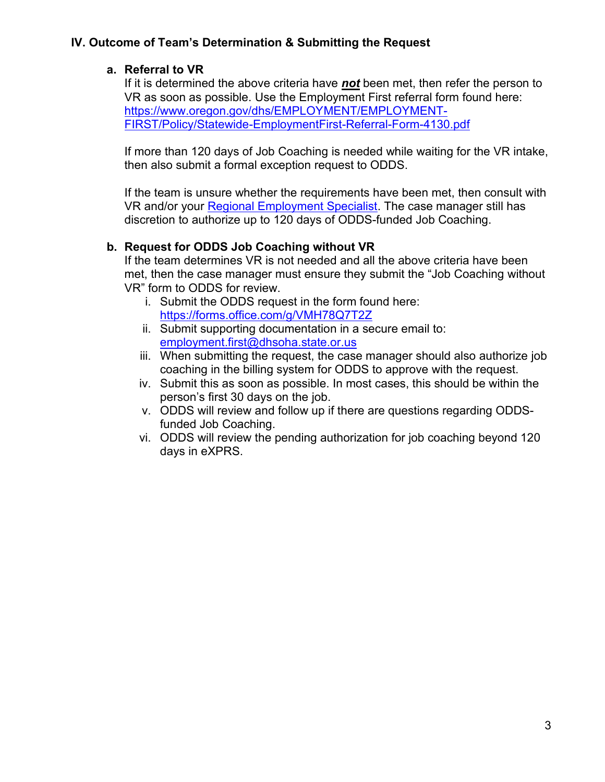## **IV. Outcome of Team's Determination & Submitting the Request**

## **a. Referral to VR**

If it is determined the above criteria have *not* been met, then refer the person to VR as soon as possible. Use the Employment First referral form found here: [https://www.oregon.gov/dhs/EMPLOYMENT/EMPLOYMENT-](https://www.oregon.gov/dhs/EMPLOYMENT/EMPLOYMENT-FIRST/Policy/Statewide-EmploymentFirst-Referral-Form-4130.pdf)[FIRST/Policy/Statewide-EmploymentFirst-Referral-Form-4130.pdf](https://www.oregon.gov/dhs/EMPLOYMENT/EMPLOYMENT-FIRST/Policy/Statewide-EmploymentFirst-Referral-Form-4130.pdf)

If more than 120 days of Job Coaching is needed while waiting for the VR intake, then also submit a formal exception request to ODDS.

If the team is unsure whether the requirements have been met, then consult with VR and/or your [Regional Employment Specialist.](https://www.oregon.gov/dhs/EMPLOYMENT/EMPLOYMENT-FIRST/Documents/Map-ODDS-Regional-Employment-Specialists.pdf%20Regional) The case manager still has discretion to authorize up to 120 days of ODDS-funded Job Coaching.

## **b. Request for ODDS Job Coaching without VR**

If the team determines VR is not needed and all the above criteria have been met, then the case manager must ensure they submit the "Job Coaching without VR" form to ODDS for review.

- i. Submit the ODDS request in the form found here: <https://forms.office.com/g/VMH78Q7T2Z>
- ii. Submit supporting documentation in a secure email to: [employment.first@dhsoha.state.or.us](mailto:employment.first@dhsoha.state.or.us)
- iii. When submitting the request, the case manager should also authorize job coaching in the billing system for ODDS to approve with the request.
- iv. Submit this as soon as possible. In most cases, this should be within the person's first 30 days on the job.
- v. ODDS will review and follow up if there are questions regarding ODDSfunded Job Coaching.
- vi. ODDS will review the pending authorization for job coaching beyond 120 days in eXPRS.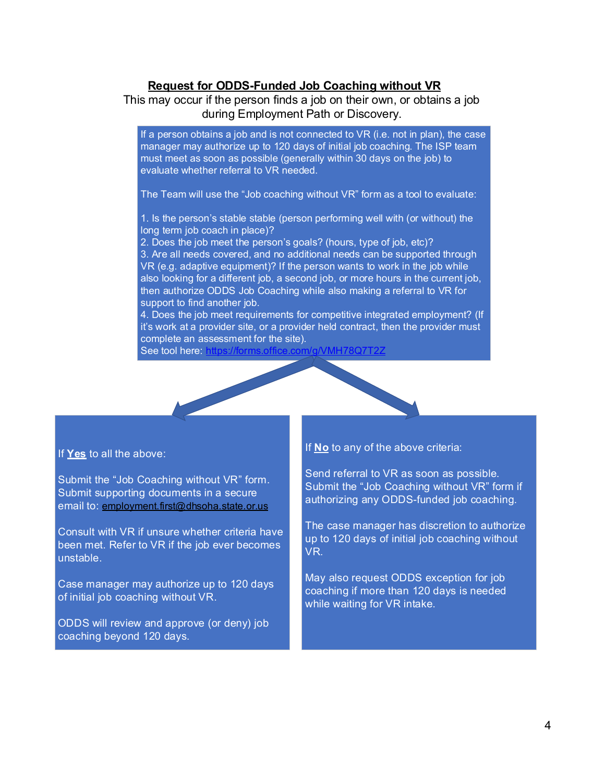### **Request for ODDS-Funded Job Coaching without VR**

### This may occur if the person finds a job on their own, or obtains a job during Employment Path or Discovery.

If a person obtains a job and is not connected to VR (i.e. not in plan), the case manager may authorize up to 120 days of initial job coaching. The ISP team must meet as soon as possible (generally within 30 days on the job) to evaluate whether referral to VR needed.

The Team will use the "Job coaching without VR" form as a tool to evaluate:

1. Is the person's stable stable (person performing well with (or without) the long term job coach in place)?

2. Does the job meet the person's goals? (hours, type of job, etc)?

3. Are all needs covered, and no additional needs can be supported through VR (e.g. adaptive equipment)? If the person wants to work in the job while also looking for a different job, a second job, or more hours in the current job, then authorize ODDS Job Coaching while also making a referral to VR for support to find another job. VR (e.g. adaptive equipment)? If the person wants to work in the job while<br>also looking for a different job, a second job, or more hours in the current job,<br>then authorize ODDS Job Coaching while also making a referral to

4. Does the job meet requirements for competitive integrated employment? (If complete an assessment for the site).

See tool here: https://forms.offic

#### If **Yes** to all the above:

Submit the "Job Coaching without VR" form. Submit supporting documents in a secure email to: employment.first@dhsoha.state.or.us

Consult with VR if unsure whether criteria have been met. Refer to VR if the job ever becomes unstable.

Case manager may authorize up to 120 days of initial job coaching without VR.

ODDS will review and approve (or deny) job coaching beyond 120 days.

#### If **No** to any of the above criteria:

Send referral to VR as soon as possible. Submit the "Job Coaching without VR" form if authorizing any ODDS-funded job coaching.

The case manager has discretion to authorize up to 120 days of initial job coaching without VR.

May also request ODDS exception for job coaching if more than 120 days is needed while waiting for VR intake.